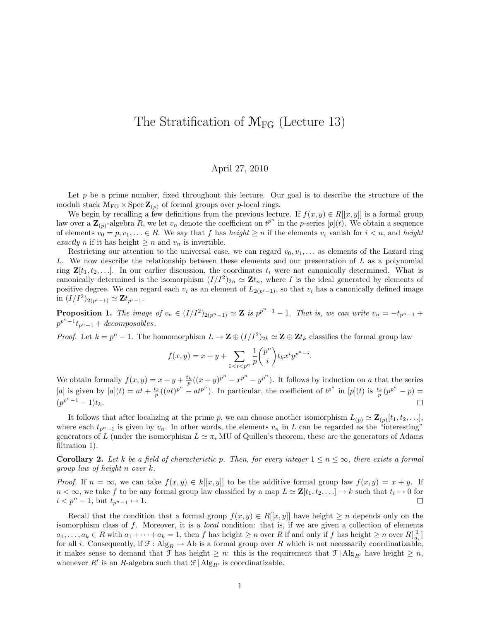## The Stratification of  $M_{FG}$  (Lecture 13)

## April 27, 2010

Let  $p$  be a prime number, fixed throughout this lecture. Our goal is to describe the structure of the moduli stack  $\mathcal{M}_{FG} \times \operatorname{Spec} \mathbf{Z}_{(p)}$  of formal groups over p-local rings.

We begin by recalling a few definitions from the previous lecture. If  $f(x, y) \in R[[x, y]]$  is a formal group law over a  $\mathbf{Z}_{(p)}$ -algebra  $\tilde{R}$ , we let  $v_n$  denote the coefficient on  $t^{p^n}$  in the p-series  $[p](t)$ . We obtain a sequence of elements  $v_0 = p, v_1, \ldots \in R$ . We say that f has height  $\geq n$  if the elements  $v_i$  vanish for  $i < n$ , and height exactly n if it has height  $\geq n$  and  $v_n$  is invertible.

Restricting our attention to the universal case, we can regard  $v_0, v_1, \ldots$  as elements of the Lazard ring L. We now describe the relationship between these elements and our presentation of L as a polynomial ring  $\mathbf{Z}[t_1, t_2, \ldots]$ . In our earlier discussion, the coordinates  $t_i$  were not canonically determined. What is canonically determined is the isomorphism  $(I/I^2)_{2n} \simeq \mathbf{Z}t_n$ , where I is the ideal generated by elements of positive degree. We can regard each  $v_i$  as an element of  $L_{2(p^i-1)}$ , so that  $v_i$  has a canonically defined image in  $(I/I^2)_{2(p^i-1)} \simeq \mathbf{Z} t_{p^i-1}.$ 

**Proposition 1.** The image of  $v_n \in (I/I^2)_{2(p^n-1)} \simeq \mathbb{Z}$  is  $p^{p^n-1} - 1$ . That is, we can write  $v_n = -t_{p^n-1} +$  $p^{p^n-1}t_{p^n-1}$  + decomposables.

*Proof.* Let  $k = p^{n} - 1$ . The homomorphism  $L \to \mathbf{Z} \oplus (I/I^{2})_{2k} \simeq \mathbf{Z} \oplus \mathbf{Z} t_{k}$  classifies the formal group law

$$
f(x,y) = x + y + \sum_{0 < i < p^n} \frac{1}{p} \binom{p^n}{i} t_k x^i y^{p^n - i}.
$$

We obtain formally  $f(x, y) = x + y + \frac{t_k}{p}((x + y)^{p^n} - x^{p^n} - y^{p^n})$ . It follows by induction on a that the series [a] is given by  $[a](t) = at + \frac{t_k}{p}((at)^{p^n} - at^{p^n})$ . In particular, the coefficient of  $t^{p^n}$  in  $[p](t)$  is  $\frac{t_k}{p}(p^{p^n} - p) =$  $(p^{p^n-1}-1)t_k.$  $\Box$ 

It follows that after localizing at the prime p, we can choose another isomorphism  $L_{(p)} \simeq \mathbf{Z}_{(p)}[t_1, t_2, \ldots],$ where each  $t_{p^{n}-1}$  is given by  $v_n$ . In other words, the elements  $v_n$  in L can be regarded as the "interesting" generators of L (under the isomorphism  $L \simeq \pi_*$  MU of Quillen's theorem, these are the generators of Adams filtration 1).

**Corollary 2.** Let k be a field of characteristic p. Then, for every integer  $1 \le n \le \infty$ , there exists a formal group law of height n over k.

*Proof.* If  $n = \infty$ , we can take  $f(x, y) \in k[[x, y]]$  to be the additive formal group law  $f(x, y) = x + y$ . If  $n < \infty$ , we take f to be any formal group law classified by a map  $L \simeq \mathbf{Z}[t_1, t_2, \ldots] \to k$  such that  $t_i \mapsto 0$  for  $i < p^{n} - 1$ , but  $t_{p^{n}-1} \mapsto 1$ .  $\Box$ 

Recall that the condition that a formal group  $f(x, y) \in R[[x, y]]$  have height  $\geq n$  depends only on the isomorphism class of  $f$ . Moreover, it is a *local* condition: that is, if we are given a collection of elements  $a_1, \ldots, a_k \in R$  with  $a_1 + \cdots + a_k = 1$ , then f has height  $\geq n$  over R if and only if f has height  $\geq n$  over  $R[\frac{1}{a_i}]$ for all i. Consequently, if  $\mathcal{F} : \text{Alg}_R \to \text{Ab}$  is a formal group over R which is not necessarily coordinatizable, it makes sense to demand that  $\mathcal{F}$  has height  $\geq n$ : this is the requirement that  $\mathcal{F} | \text{Alg}_{R'}$  have height  $\geq n$ , whenever  $R'$  is an R-algebra such that  $\mathcal{F} | \operatorname{Alg}_{R'}$  is coordinatizable.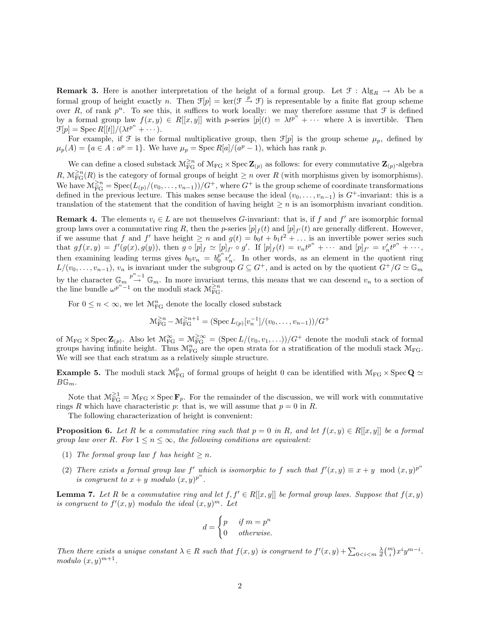**Remark 3.** Here is another interpretation of the height of a formal group. Let  $\mathcal{F}$ : Alg<sub>R</sub>  $\rightarrow$  Ab be a formal group of height exactly n. Then  $\mathcal{F}[p] = \ker(\mathcal{F} \stackrel{p}{\to} \mathcal{F})$  is representable by a finite flat group scheme over R, of rank  $p^n$ . To see this, it suffices to work locally: we may therefore assume that  $\mathcal F$  is defined by a formal group law  $f(x, y) \in R[[x, y]]$  with p-series  $[p](t) = \lambda t^{p^n} + \cdots$  where  $\lambda$  is invertible. Then  $\mathcal{F}[p] = \operatorname{Spec} R[[t]]/(\lambda t^{p^n} + \cdots).$ 

For example, if  $\mathcal F$  is the formal multiplicative group, then  $\mathcal F[p]$  is the group scheme  $\mu_p$ , defined by  $\mu_p(A) = \{a \in A : a^p = 1\}.$  We have  $\mu_p = \text{Spec } R[a]/(a^p - 1)$ , which has rank p.

We can define a closed substack  $\mathcal{M}_{FG}^{\geq n}$  of  $\mathcal{M}_{FG} \times \text{Spec } \mathbf{Z}_{(p)}$  as follows: for every commutative  $\mathbf{Z}_{(p)}$ -algebra  $R, \mathcal{M}^{\geq n}_{\text{FG}}(R)$  is the category of formal groups of height  $\geq n$  over  $R$  (with morphisms given by isomorphisms). We have  $\mathcal{M}_{FG}^{\geq n} = \text{Spec}(L_{(p)}/(v_0,\ldots,v_{n-1}))/G^+$ , where  $G^+$  is the group scheme of coordinate transformations defined in the previous lecture. This makes sense because the ideal  $(v_0, \ldots, v_{n-1})$  is  $G^+$ -invariant: this is a translation of the statement that the condition of having height  $\geq n$  is an isomorphism invariant condition.

**Remark 4.** The elements  $v_i \in L$  are not themselves G-invariant: that is, if f and f' are isomorphic formal group laws over a commutative ring R, then the p-series  $[p]_f(t)$  and  $[p]_{f'}(t)$  are generally different. However, if we assume that f and  $f'$  have height  $\geq n$  and  $g(t) = b_0 t + b_1 t^2 + \dots$  is an invertible power series such that  $gf(x,y) = f'(g(x), g(y))$ , then  $g \circ [\overline{p}]_f \simeq [p]_{f'} \circ g'.$  If  $[p]_f(t) = v_n t^{p^n} + \cdots$  and  $[p]_{f'} = v'_n t^{p^n} + \cdots$ , then examining leading terms gives  $b_0v_n = b_0^{p^n}$  $v_n^{\nu}$   $v_n'$ . In other words, as an element in the quotient ring  $L/(v_0, \ldots, v_{n-1}), v_n$  is invariant under the subgroup  $G \subseteq G^+$ , and is acted on by the quotient  $G^+/G \simeq \mathbb{G}_m$ by the character  $\mathbb{G}_m \stackrel{p^n-1}{\rightarrow} \mathbb{G}_m$ . In more invariant terms, this means that we can descend  $v_n$  to a section of the line bundle  $\omega^{p^n-1}$  on the moduli stack  $\mathcal{M}_{\text{FG}}^{\geq n}$ .

For  $0 \leq n < \infty$ , we let  $\mathcal{M}^n_{\text{FG}}$  denote the locally closed substack

$$
\mathcal{M}_{\text{FG}}^{\geq n} - \mathcal{M}_{\text{FG}}^{\geq n+1} = (\text{Spec } L_{(p)}[v_n^{-1}]/(v_0, \dots, v_{n-1}))/G^+
$$

of  $\mathcal{M}_{FG} \times \operatorname{Spec} \mathbf{Z}_{(p)}$ . Also let  $\mathcal{M}_{FG}^{\infty} = \mathcal{M}_{FG}^{\geq \infty} = (\operatorname{Spec} L/(v_0, v_1, \ldots))/G^+$  denote the moduli stack of formal groups having infinite height. Thus  $\mathcal{M}_{FG}^{n}$  are the open strata for a stratification of the moduli stack  $\mathcal{M}_{FG}$ . We will see that each stratum as a relatively simple structure.

**Example 5.** The moduli stack  $M_{FG}^0$  of formal groups of height 0 can be identified with  $M_{FG} \times Spec Q \simeq$  $B\mathbb{G}_m$ .

Note that  $M_{FG}^{\geq 1} = M_{FG} \times \text{Spec } \mathbf{F}_p$ . For the remainder of the discussion, we will work with commutative rings R which have characteristic p: that is, we will assume that  $p = 0$  in R.

The following characterization of height is convenient:

**Proposition 6.** Let R be a commutative ring such that  $p = 0$  in R, and let  $f(x, y) \in R[[x, y]]$  be a formal group law over R. For  $1 \le n \le \infty$ , the following conditions are equivalent:

- (1) The formal group law f has height  $\geq n$ .
- (2) There exists a formal group law f' which is isomorphic to f such that  $f'(x, y) \equiv x + y \mod (x, y)^{p^n}$ is congruent to  $x + y$  modulo  $(x, y)^{p^n}$ .

**Lemma 7.** Let R be a commutative ring and let  $f, f' \in R[[x, y]]$  be formal group laws. Suppose that  $f(x, y)$ is congruent to  $f'(x, y)$  modulo the ideal  $(x, y)^m$ . Let

$$
d = \begin{cases} p & \text{if } m = p^n \\ 0 & \text{otherwise.} \end{cases}
$$

Then there exists a unique constant  $\lambda \in R$  such that  $f(x, y)$  is congruent to  $f'(x, y) + \sum_{0 \leq i \leq m} \frac{\lambda}{d} {m \choose i} x^i y^{m-i}$ . modulo  $(x, y)^{m+1}$ .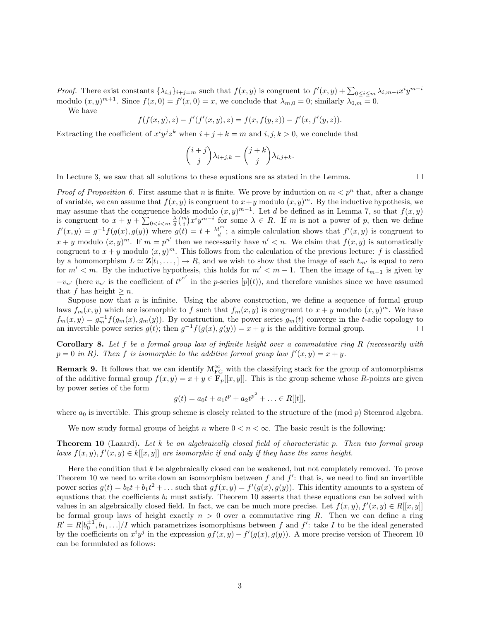*Proof.* There exist constants  $\{\lambda_{i,j}\}_{i+j=m}$  such that  $f(x,y)$  is congruent to  $f'(x,y) + \sum_{0 \leq i \leq m} \lambda_{i,m-i} x^i y^{m-i}$ modulo  $(x, y)^{m+1}$ . Since  $f(x, 0) = f'(x, 0) = x$ , we conclude that  $\lambda_{m,0} = 0$ ; similarly  $\lambda_{0,m} = 0$ .

We have

$$
f(f(x, y), z) - f'(f'(x, y), z) = f(x, f(y, z)) - f'(x, f'(y, z)).
$$

Extracting the coefficient of  $x^i y^j z^k$  when  $i + j + k = m$  and  $i, j, k > 0$ , we conclude that

$$
\binom{i+j}{j}\lambda_{i+j,k} = \binom{j+k}{j}\lambda_{i,j+k}.
$$

In Lecture 3, we saw that all solutions to these equations are as stated in the Lemma.

 $\Box$ 

*Proof of Proposition 6.* First assume that n is finite. We prove by induction on  $m < p<sup>n</sup>$  that, after a change of variable, we can assume that  $f(x, y)$  is congruent to  $x + y$  modulo  $(x, y)^m$ . By the inductive hypothesis, we may assume that the congruence holds modulo  $(x, y)^{m-1}$ . Let d be defined as in Lemma 7, so that  $f(x, y)$ is congruent to  $x + y + \sum_{0 \le i \le m} \frac{\lambda}{d} {m \choose i} x^i y^{m-i}$  for some  $\lambda \in R$ . If m is not a power of p, then we define  $f'(x,y) = g^{-1}f(g(x),g(y))$  where  $g(t) = t + \frac{\lambda t^m}{d}$ ; a simple calculation shows that  $f'(x,y)$  is congruent to  $x + y$  modulo  $(x, y)^m$ . If  $m = p^{n'}$  then we necessarily have  $n' < n$ . We claim that  $f(x, y)$  is automatically congruent to  $x + y$  modulo  $(x, y)^m$ . This follows from the calculation of the previous lecture: f is classified by a homomorphism  $L \simeq \mathbf{Z}[t_1,\ldots,]\to R$ , and we wish to show that the image of each  $t_{m'}$  is equal to zero for  $m' < m$ . By the inductive hypothesis, this holds for  $m' < m - 1$ . Then the image of  $t_{m-1}$  is given by  $-v_{n'}$  (here  $v_{n'}$  is the coefficient of  $t^{p^{n'}}$  in the p-series  $[p](t)$ ), and therefore vanishes since we have assumed that f has height  $\geq n$ .

Suppose now that  $n$  is infinite. Using the above construction, we define a sequence of formal group laws  $f_m(x, y)$  which are isomorphic to f such that  $f_m(x, y)$  is congruent to  $x + y$  modulo  $(x, y)^m$ . We have  $f_m(x,y) = g_m^{-1} f(g_m(x), g_m(y))$ . By construction, the power series  $g_m(t)$  converge in the t-adic topology to an invertible power series  $g(t)$ ; then  $g^{-1}f(g(x), g(y)) = x + y$  is the additive formal group.

**Corollary 8.** Let f be a formal group law of infinite height over a commutative ring R (necessarily with  $p = 0$  in R). Then f is isomorphic to the additive formal group law  $f'(x, y) = x + y$ .

**Remark 9.** It follows that we can identify  $\mathcal{M}_{FG}^{\infty}$  with the classifying stack for the group of automorphisms of the additive formal group  $f(x, y) = x + y \in \mathbf{F}_p[[x, y]]$ . This is the group scheme whose R-points are given by power series of the form

$$
g(t) = a_0t + a_1t^p + a_2t^{p^2} + \ldots \in R[[t]],
$$

where  $a_0$  is invertible. This group scheme is closely related to the structure of the (mod p) Steenrod algebra.

We now study formal groups of height n where  $0 < n < \infty$ . The basic result is the following:

**Theorem 10** (Lazard). Let  $k$  be an algebraically closed field of characteristic p. Then two formal group laws  $f(x, y), f'(x, y) \in k[[x, y]]$  are isomorphic if and only if they have the same height.

Here the condition that k be algebraically closed can be weakened, but not completely removed. To prove Theorem 10 we need to write down an isomorphism between  $f$  and  $f'$ : that is, we need to find an invertible power series  $g(t) = b_0 t + b_1 t^2 + \dots$  such that  $gf(x, y) = f'(g(x), g(y))$ . This identity amounts to a system of equations that the coefficients  $b_i$  must satisfy. Theorem 10 asserts that these equations can be solved with values in an algebraically closed field. In fact, we can be much more precise. Let  $f(x, y), f'(x, y) \in R[[x, y]]$ be formal group laws of height exactly  $n > 0$  over a commutative ring R. Then we can define a ring  $R' = R[b_0^{\pm 1}, b_1, \ldots]/I$  which parametrizes isomorphisms between f and f': take I to be the ideal generated by the coefficients on  $x^i y^j$  in the expression  $gf(x, y) - f'(g(x), g(y))$ . A more precise version of Theorem 10 can be formulated as follows: